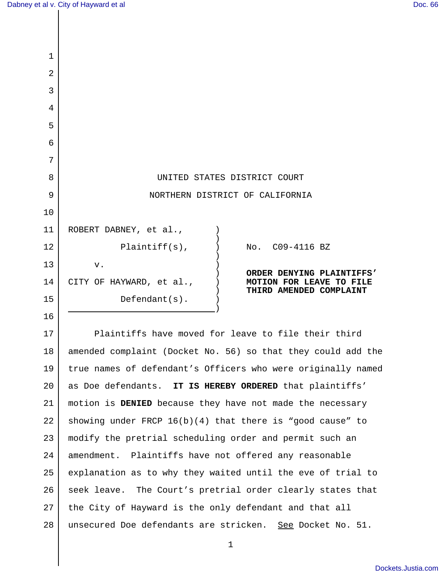| $\mathbf 1$    |                                                                                                                                        |
|----------------|----------------------------------------------------------------------------------------------------------------------------------------|
| $\overline{2}$ |                                                                                                                                        |
| 3              |                                                                                                                                        |
| 4              |                                                                                                                                        |
| 5              |                                                                                                                                        |
| 6              |                                                                                                                                        |
| 7              |                                                                                                                                        |
| 8              | UNITED STATES DISTRICT COURT                                                                                                           |
| 9              | NORTHERN DISTRICT OF CALIFORNIA                                                                                                        |
| 10             |                                                                                                                                        |
| 11             | ROBERT DABNEY, et al.,                                                                                                                 |
| 12             | $Plaintiff(s)$ ,<br>No. C09-4116 BZ                                                                                                    |
| 13             | ${\bf v}$ .<br>ORDER DENYING PLAINTIFFS'                                                                                               |
| 14             | CITY OF HAYWARD, et al.,<br>MOTION FOR LEAVE TO FILE<br>THIRD AMENDED COMPLAINT                                                        |
| 15             | $Defendant(s)$ .                                                                                                                       |
| 16             |                                                                                                                                        |
| 17             | Plaintiffs have moved for leave to file their third                                                                                    |
| $\sim$         | , and the second contract $\mathcal{L}$ and $\mathcal{L}$ and $\mathcal{L}$ are the second contract of a second contract $\mathcal{L}$ |

18 19 20 21 22 23 24 25 26 27 28 amended complaint (Docket No. 56) so that they could add the true names of defendant's Officers who were originally named as Doe defendants. **IT IS HEREBY ORDERED** that plaintiffs' motion is **DENIED** because they have not made the necessary showing under FRCP 16(b)(4) that there is "good cause" to modify the pretrial scheduling order and permit such an amendment. Plaintiffs have not offered any reasonable explanation as to why they waited until the eve of trial to seek leave. The Court's pretrial order clearly states that the City of Hayward is the only defendant and that all unsecured Doe defendants are stricken. See Docket No. 51.

1